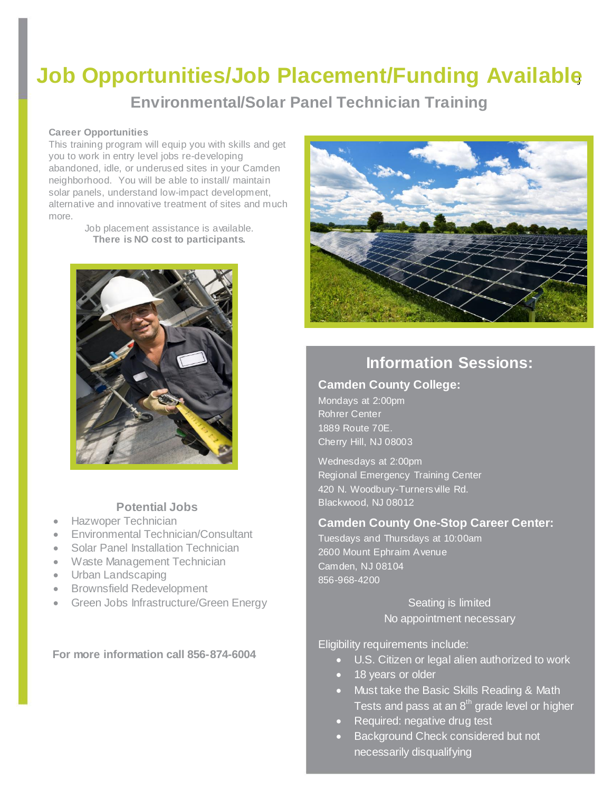# **Job Opportunities/Job Placement/Funding Available**<sup>j</sup>

**Environmental/Solar Panel Technician Training**

#### **Career Opportunities**

This training program will equip you with skills and get you to work in entry level jobs re-developing abandoned, idle, or underused sites in your Camden neighborhood. You will be able to install/ maintain solar panels, understand low-impact development, alternative and innovative treatment of sites and much more.

Job placement assistance is available. **There is NO cost to participants.**



### **Potential Jobs**

- Hazwoper Technician
- Environmental Technician/Consultant
- Solar Panel Installation Technician
- Waste Management Technician
- Urban Landscaping
- Brownsfield Redevelopment
- Green Jobs Infrastructure/Green Energy

**For more information call 856-874-6004**



### **Information Sessions:**

#### **Camden County College:**

Mondays at 2:00pm Rohrer Center 1889 Route 70E. Cherry Hill, NJ 08003

Wednesdays at 2:00pm Regional Emergency Training Center 420 N. Woodbury-Turners ville Rd. Blackwood, NJ 08012

### **Camden County One-Stop Career Center:**

Tuesdays and Thursdays at 10:00am 2600 Mount Ephraim Avenue Camden, NJ 08104 856-968-4200

> Seating is limited No appointment necessary

Eligibility requirements include:

- U.S. Citizen or legal alien authorized to work
- 18 years or older
- Must take the Basic Skills Reading & Math Tests and pass at an  $8<sup>th</sup>$  grade level or higher
- Required: negative drug test
- Background Check considered but not necessarily disqualifying